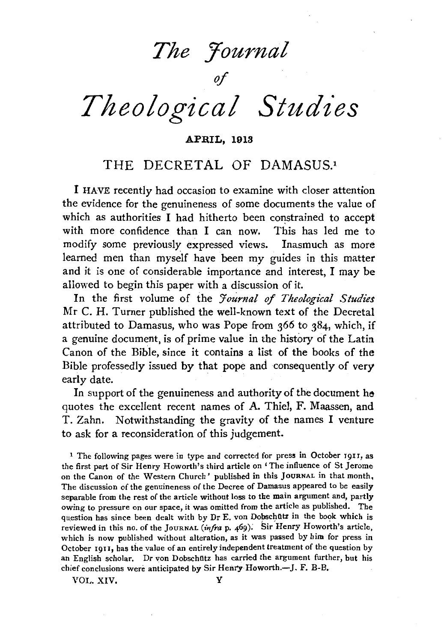# *The Yournal*

*of* 

# *Theological Studies*

### APRIL, 1913

# THE DECRETAL OF DAMASUS.<sup>1</sup>

I HAVE recently had occasion to examine with closer attention the evidence for the genuineness of some documents the value of which as authorities I had hitherto been constrained to accept with more confidence than I can now. This has led me to modify some previously expressed views. Inasmuch as more learned men than myself have been my guides in this matter and it is one of considerable importance and interest, I may be allowed to begin this paper with a discussion of it.

In the first volume of the *J'oumal of Theological Studies*  Mr C. H. Turner published the well-known text of the Decretal attributed to Damasus, who was Pope from 366 to 384, which, if a genuine document, is of prime value in the history of the Latin Canon of the Bible, since it contains a list of the books of the Bible professedly issued by that pope and consequently of very early date.

In support of the genuineness and authority of the document he quotes the excellent recent names of A. Thiel, F. Maassen, and T. Zahn. Notwithstanding the gravity of the names I venture to ask for a reconsideration of this judgement.

1 The following pages were in type and corrected for press in October 19Ir, as the first part of Sir Henry Howorth's third article on' The influence of St Jerome on the Canon of the Western Church' published in this JouRNAL in that month, The discussion of the genuineness of the Decree of Damasus appeared to be easily separable from the rest of the article without loss to the main argument and, partly owing to pressure on our space, it was omitted from the article as published. The question has since been dealt with by Dr E. von Dobschütz in the book which is reviewed in this no. of the JouRNAL *(infra* p. 469); Sir Henry Howorth's article, which is now published without alteration, as it was passed by him for press in October 19II, has the value of an entirely independent treatment of the question by an English scholar. Dr von Dobschiitz has carried the argument further, but his chief conclusions were anticipated by Sir Henry Howorth.-J. F. B-B.

VOL. XIV. Y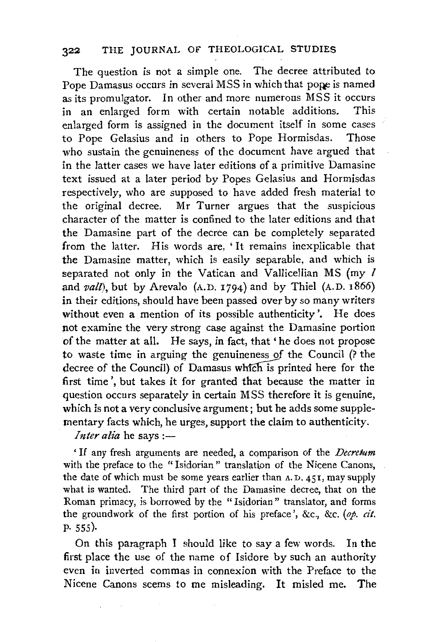# 322 THE JOURNAL OF THEOLOGICAL STUDIES

The question is not a simple one. The decree attributed to Pope Damasus occurs in several MSS in which that pope is named as its promulgator. In other and more numerous MSS it occurs in an enlarged form with certain notable additions. This enlarged form is assigned in the document itself in some cases to Pope Gelasius and in others to Pope Hormisdas. Those who sustain the genuineness of the document have argued that in the latter cases we have later editions of a primitive Damasine text issued at a later period by Popes Gelasius and Hormisdas respectively, who are supposed to have added fresh material to the original decree. Mr Turner argues that the suspicious character of the matter is confined to the later editions and that the Damasine part of the decree can be completely separated from the latter. His words are, 'It remains inexplicable that the Damasine matter, which is easily separable, and which is separated not only in the Vatican and Vallicellian MS (my *l*  and *vall),* but by Arevalo (A.D. 1794) and by Thiel (A.D. 1866) in their editions, should have been passed over by so many writers without even a mention of its possible authenticity'. He does not examine the very strong case against the Damasine portion of the matter at all. He says, in fact, that 'he does not propose to waste time in arguing the genuineness of the Council (? the decree of the Council) of Damasus which is printed here for the first time ', but takes it for granted that because the matter in question occurs separately in certain MSS therefore it is genuine, which is not a very conclusive argument; but he adds some supplementary facts which, he urges, support the claim to authenticity.

*Inter alia* he says:--

' If any fresh arguments are needed, a comparison of the *Decrelum*  with the preface to the "Isidorian" translation of the Nicene Canons, the date of which must be some years earlier than A. D. 451, may supply what is wanted. The third part of the Damasine decree, that on the Roman primacy, is borrowed by the "Isidorian" translator, and forms the groundwork of the first portion of his preface', &c., &c. *(op. cit.*  p. 555)·

On this paragraph I should like to say a few words. In the first place the use of the name of Isidore by such an authority even in inverted commas in connexion with the Preface to the Nicene Canons seems to me misleading. It misled me. The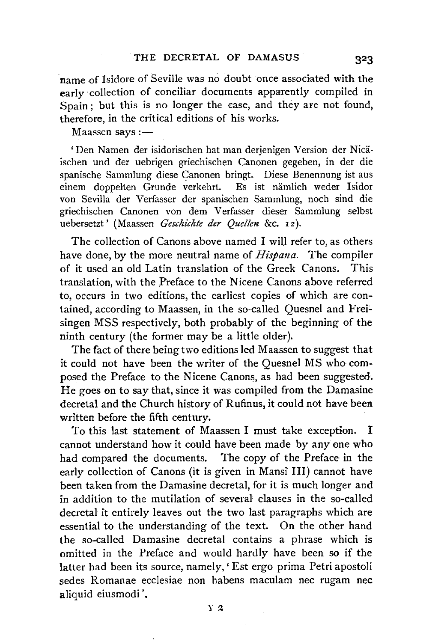name of Isidore of Seville was no doubt once associated with the early collection of conciliar documents apparently compiled in Spain ; but this is no longer the case, and they are not found, therefore, in the critical editions of his works.

 $M$ aassen says : $-$ 

'Den Namen der isidorischen hat man derjenigen Version der Niciiischen und der uebrigen griechischen Canonen gegeben, in der die spanische Sammlung diese Canonen bringt. Diese Benennung ist aus einem doppelten Grunde verkehrt. Es ist nämlich weder Isidor von Sevilla der Verfasser der spanischen Sammlung, noch sind die griechischen Canonen von dem Verfasser dieser Sammlung selbst uebersetzt' (Maassen *Geschichte der Quellen* &c. 12).

The collection of Canons above named I will refer to, as others have done, by the more neutral name of *Hispana*. The compiler of it used an old Latin translation of the Greek Canons. This translation, with the Preface to the Nicene Canons above referred to, occurs in two editions, the earliest copies of which are contained, according to Maassen, in the so-called Quesnel and Freisingen MSS respectively, both probably of the beginning of the ninth century (the former may be a little older).

The fact of there being two editions led Maassen to suggest that it could not have been the writer of the Quesnel MS who composed the Preface to the Nicene Canons, as had been suggested. He goes on to say that, since it was compiled from the Damasine decretal and the Church history of Rufinus, it could not have been written before the fifth century.

To this last statement of Maassen I must take exception. I cannot understand how it could have been made by any one who had compared the documents. The copy of the Preface in the early collection of Canons (it is given in Mansi III) cannot have been taken from the Damasine decretal, for it is much longer and in addition to the mutilation of several clauses in the so-called decretal it entirely leaves out the two last paragraphs which are essential to the understanding of the text. On the other hand the so-called Damasine decretal contains a phrase which is omitted in the Preface and would hardly have been so if the latter had been its source, namely, 'Est ergo prima Petri apostoli sedes Romanae ecclesiae non habens maculam nec rugam nec aliquid eiusmodi '.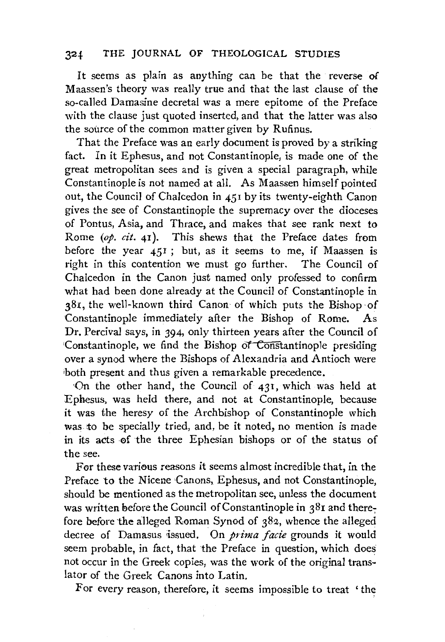## 324- THE JOURNAL OF THEOLOGICAL STUDIES

It seems as plain as anything can be that the reverse of Maassen's theory was really true and that the last clause of the so-called Damasine decretal was a mere epitome of the Preface with the clause just quoted inserted, and that the latter was also the source of the common matter given by Rufinus.

That the Preface was an early document is proved by a striking fact. In it Ephesus, and not Constantinople, is made one of the great metropolitan sees and is given a special paragraph, while Constantinople is not named at all. As Maassen himself pointed out, the Council of Chalcedon in 451 by its twenty-eighth Canon gives the see of Constantinople the supremacy over the dioceses of Pontus, Asia, and Thrace, and makes that see rank next to Rome *(op. cit.* 41 ). This shews that the Preface dates from before the year 451 ; but, as it seems to me, if Maassen is right in this contention we must go further. The Council of Chalcedon in the Canon just named only professed to confirm what had been done already at the Council of Constantinople in 381, the well-known third Canon of which puts the Bishop of Constantinople immediately after the Bishop of Rome. As Dr. Percival says, in 394, only thirteen years after the Council of 'Constantinople, we find the Bishop of Constantinople presiding over a synod where the Bishops of Alexandria and Antioch were both present and thus given a remarkable precedence.

·On the other hand, the Council of 431, which was held at Ephesus, was held there, and not at Constantinople, because it was the heresy of the Archbishop of Constantinople which was to be specially tried, and, be it noted, no mention is made in its acts of the three Ephesian bishops or of the status of the see.

For these various reasons it seems almost incredible that, in the Preface to the Nicene 'Canons, Ephesus, and not Constantinople, should be mentioned as the metropolitan see, unless the document was written before the Council of Constantinople in 381 and therefore before the alleged Roman Synod of 382, whence the alleged decree of Damasus issued. On *prima facie* grounds it would seem probable, in fact, that the Preface in question, which does not occur in the Greek copies, was the work of the original translator of the Greek Canons into Latin.

For every reason, therefore, it seems impossible to treat 'the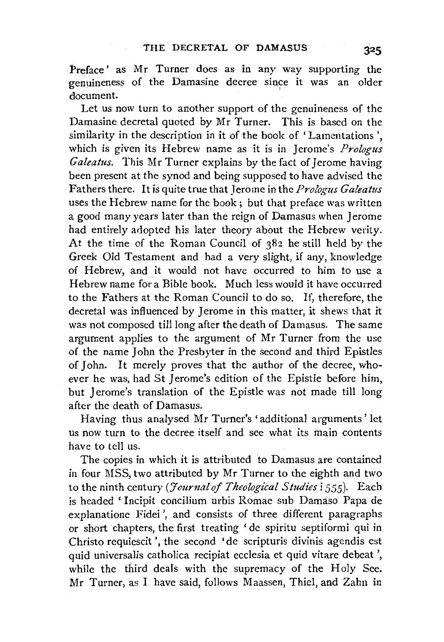Preface' as Mr Turner does as in any way supporting the genuineness of the Damasine decree since it was an older document.

Let us now turn to another support of the genuineness of the Damasine decretal quoted by Mr Turner. This is based on the similarity in the description in it of the book of 'Lamentations ', which is given its Hebrew name as it is in Jerome's *Prologus Galeatus.* This Mr Turner explains by the fact of Jerome having been present at the synod and being supposed to have advised the Fathers there. It is quite true that Jerome in the *Prol'ogus Galeatus*  uses the Hebrew name for the book; but that preface was written a good many years later than the reign of Damasus when Jerome had entirely adopted his later theory about the Hebrew verity. At the time of the Roman Council of 382 he still held by the Greek Old Testament and had a very slight, if any, knowledge of Hebrew, and it would not have occurred to him to use a Hebrew name for a Bible book. Much less would it have occurred to the Fathers at the Roman Council to do so. If, therefore, the decretal was influenced by Jerome in this matter, it shews that it was not composed till long after the death of Damasus. The same argument applies to the argument of Mr Turner from the use of the name John the Presbyter in the second and third Epistles of John. It merely proves that the author of the decree, whoever he was, had St Jerome's edition of the Epistle before him, but Jerome's translation of the Epistle was not made till long after the death of Damasus.

Having thus analysed Mr Turner's 'additional arguments' let us now turn to the decree itself and see what its main contents have to tell us.

The copies in which it is attributed to Damasus are contained in four MSS, two attributed by Mr Turner to the eighth and two to the ninth century (*Journal of Theological Studies* i 555). Each is headed ' Incipit concilium urbis Romae sub Damaso Papa de explanatione Fidei ', and consists of three different paragraphs or short chapters, the first treating ' de spiritu septiformi qui in Christo requiescit ', the second 'de scripturis divinis agendis est quid universalis catholica recipiat ecclesia et quid vitare debeat ', while the third deals with the supremacy of the Holy See. Mr Turner, as I have said, follows Maassen, Thiel, and Zahn in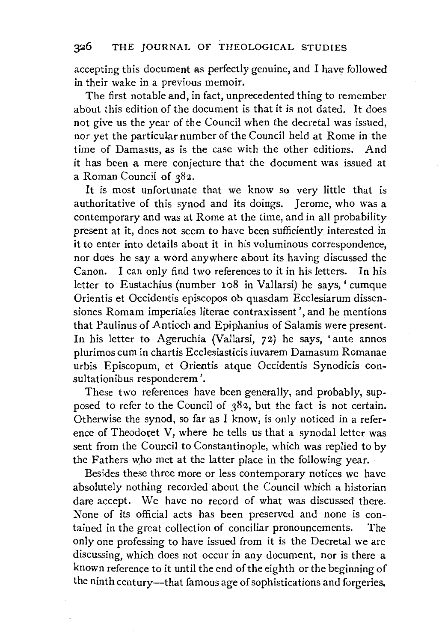### 326 THE JOURNAL OF THEOLOGICAL STUDIES

accepting this document as perfectly genuine, and I have followed in their wake in a previous memoir.

The first notable and, in fact, unprecedented thing to remember about this edition of the document is that it is not dated. It does not give us the year of the Councii when the decretal was issued, nor yet the particular number of the Council held at Rome in the time of Damasus, as is the case with the other editions. And it has been a mere conjecture that the document was issued at a Roman Council of 382.

It is most unfortunate that we know so very little that is authoritative of this synod and its doings. Jerome, who was a contemporary and was at Rome at the time, and in all probability present at it, does not seem to have been sufficiently interested in it to enter into details about it in his voluminous correspondence, nor does he say a word anywhere about its having discussed the Canon. I can only find two references to it in his letters. In his letter to Eustachius (number 108 in Vallarsi) he says, ' cumque Orientis et Occidentis episcopos ob quasdam Ecclesiarum dissensiones Romam imperiales literae contraxissent ',and he mentions that Paulinus of Antioch and Epiphanius of Salamis were present. In his letter to Ageruchia (Vallarsi, 72) he says, 'ante annos plurimos cum in chartis Ecclesiasticis iuvarem Damasum Romanae urbis Episcopum, et Orientis atque Occidentis Synodicis con~ sultationibus responderem '.

These two references have been generally, and probably, supposed to refer to the Council of 382, but the fact is not certain. Otherwise the synod, so far as I know, is only noticed in a refer~ ence of Theodoret V, where he tells us that a synodal letter was sent from the Council to Constantinople, which was replied to by the Fathers who met at the latter place in the following year.

Besides these three more or less contemporary notices we have absolutely nothing recorded about the Council which a historian dare accept. We have no record of what was discussed there. None of its official acts has been preserved and none is contained in the great collection of conciliar pronouncements. The only one professing to have issued from it is the Decretal we are discussing, which does not occur in any document, nor is there a known reference to it until the end of the eighth or the beginning of the ninth century-that famous age of sophistications and forgeries,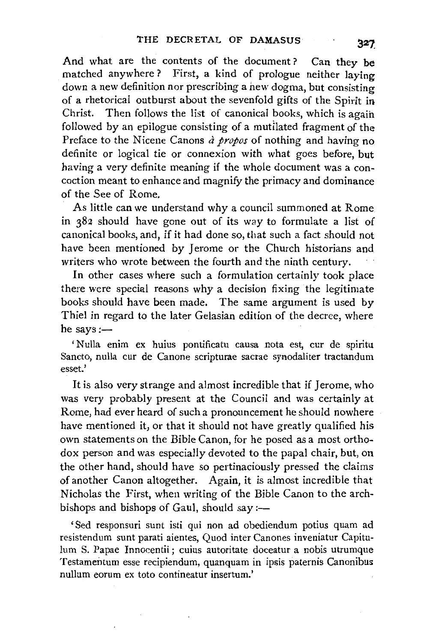And what are the contents of the document? Can they be matched anywhere? First, a kind of prologue neither laying down a new definition nor prescribing a hew dogma, but consisting of a rhetorical outburst about the sevenfold gifts of the Spirit in Christ. Then follows the list of canonical books, which is agaih followed by an epilogue consisting of a mutilated fragment of the Preface to the Nicene Canons  $\dot{a}$  propos of nothing and having no definite or logical tie or connexion with what goes before, but having a very definite meaning if the whole document was a concoction meant to enhance and magnify the primacy and dominance of the See of Rome.

As little can we understand why a council summoned at Rome in 38z should have gone out of its way to formulate a list of canonical books, and, if it had done so, that such a fact should not have been mentioned by Jerome or the Church historians and writers who wrote between the fourth and the ninth century.

In other cases where such a formulation certainly took place there were special reasons why a decision fixing the legitimate books should have been made. The same argument is used by Thiel in regard to the later Gelasian edition of the decree, where he says: $-$ 

' Nulla enim ex huius pontificatu causa nota est, cur de spiritu Sancto, nulla cur de Canone scripturae sacrae synodaliter tractandum esset.'

It is also very strange and almost incredible that if Jerome, who was very probably present at the Council and was certainly at Rome, had ever heard of such a pronouncement he should nowhere have mentioned it, or that it should not have greatly qualified his own statements on the Bible Canon, for he posed as a most orthodox person and was especially devoted to the papal chair, but, on the other hand, should have so pertinaciously pressed the claims of another Canon altogether. Again, it is almost incredible that Nicholas the First, when writing of the Bible Canon to the archbishops and bishops of Gaul, should say :-

'Sed responsuri sunt isti qui non ad obediendum potius quam ad resistendum sunt parati aientes, Quod inter Canones inveniatur Capitulum S. Papae Innocentii; cuius autoritate doceatur a nobis utrumque Testamentum esse recipiendum, quanquam in ipsis paternis Canonibus nullum eorum ex toto contineatur insertum.'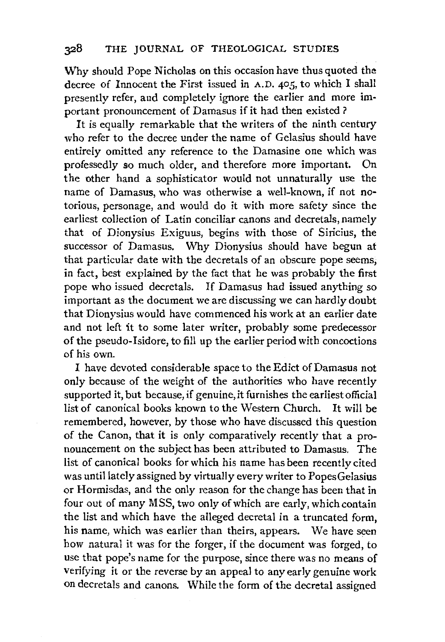Why should Pope Nicholas on this occasion have thus quoted the decree of Innocent the First issued in A.D. *405,* to which I shall presently refer, and completely ignore the earlier and more important pronouncement of Damasus if it had then existed?

It is equally remarkable that the writers of the ninth century who refer to the decree under the name of Gelasius should have entirely omitted any reference to the Damasine one which was professedly so much older, and therefore more important. On the other hand a sophisticator would not unnaturally use the name of Damasus, who was otherwise a well-known, if not notorious, personage, and would do it with more safety since the earliest collection of Latin conciliar canons and decretals, namely that of Dionysius Exiguus, begins with those of Siricius, the successor of Damasus. Why Dionysius should have begun at that particular date with the decretals of an obscure pope seems; in fact, best explained by the fact that he was probably the first pope who issued decretals. If Damasus had issued anything so important as the document we are discussing we can hardly doubt that Dionysius would have commenced his work at an earlier date and not left it to some later writer, probably some predecessor of the pseudo-Isidore, to fill up the earlier period with concoctions of his own.

I have devoted considerable space to the Edict of Damasus not only because of the weight of the authorities who have recently supported it, but because, if genuine, it furnishes the earliest official list of canonical books known to the Western Church. It will be remembered, however, by those who have discussed this question of the Canon, that it is only comparatively recently that a pronouncement on the subject has been attributed to Damasus. The list of canonical books for which his name has been recently cited was until lately assigned by virtually every writer to PopesGelasius or Hormisdas, and the only reason for the change has been that in four out of many MSS, two only of which are early, which contain the list and which have the alleged decretal in a truncated form, his name, which was earlier than theirs, appears. We have seen how natural it was for the forger, if the document was forged, to use that pope's name for the purpose, since there was no means of verifying it or the reverse by an appeal to any early genuine work on decretals and canons. While the form of the decretal assigned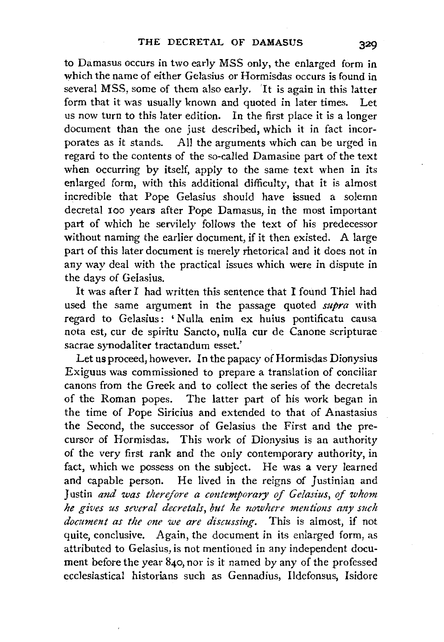to Damasus occurs in two early MSS only, the enlarged form in which the name of either Gelasius or Hormisdas occurs is found in several MSS, some of them also early. 'It is again in this latter form that it was usually known and quoted in later times. Let us now turn to this later edition. In the first place it is a longer document than the one just described, which it in fact incorporates as it stands. All the arguments which can be urged in regard to the contents of the so-called Damasine part of the text when occurring by itself, apply to the same text when in its enlarged form, with this additional difficulty, that it is almost incredible that Pope Gelasius should have issued a solemn decretal 100 years after Pope Damasus, in the most important part of which he servilely follows the text of his predecessor without naming the earlier document, if it then existed. A large part of this later document is merely rhetorical and it does not in any way deal with the practical issues which were in dispute in the days of Gelasius.

It was after I had written this sentence that I found Thiel had used the same argument in the passage quoted *supra* with regard to Gelasius: ' Nulla enim ex huius pontificatu causa nota est, cur de spiritu Sancto, nulla cur de Canone scripturae sacrae synodaliter tractandum esset.'

Let us proceed, however. In the papacy of Hormisdas Dionysius Exiguus was commissioned to prepare a translation of conciliar canons from the Greek and to collect the series of the decretals of the Roman popes. The latter part of his work began in the time of Pope Siricius and extended to that of Anastasius the Second, the successor of Gelasius the First and the precursor of Hormisdas. This work of Dionysius is an authority of the very first rank and the only contemporary authority, in fact, which we possess on the subject. He was a very learned and capable person. He lived in the reigns of Justinian and Justin *and was therefore a contemporary of Gelasius, of whom he gives us several decretals, but he nowhere mentions any such document as the one we are discussing.* This is almost, if not quite, conclusive. Again, the document in its enlarged form, as attributed to Gelasius, is not mentioned in any independent document before the year 84o, nor is it named by any of the professed ecclesiastical historians such as Gennadius, Ildefonsus, Isidore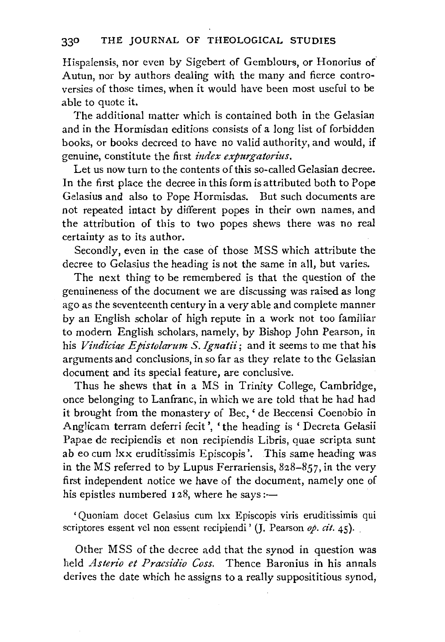Hispalensis, nor even by Sigebert of Gemblours, or Honorius or' Autun, nor by authors dealing with the many and fierce contro• versies of those times, when it would have been most useful to be able to quote it.

The additional matter which is contained both in the Gelasian and in the Hormisdan editions consists of a long list of forbidden books, or books decreed to have no valid authority, and would, if genuine, constitute the first *index expurgatorius.* 

Let us now turn to the contents of this so-called Gelasian decree. In the first place the decree in this form is attributed both to Pope Gelasius and also to Pope Hormisdas. But such documents are not repeated intact by different popes in their own names, and the attribution of this to two popes shews there was no real certainty as to its author.

Secondly, even in the case of those MSS which attribute the decree to Gelasius the heading is not the same in all, but varies.

The next thing to be remembered is that the question of the genuineness of the document we are discussing was raised as long ago as the seventeenth century in a very able and complete manner by an English scholar of high repute in a work not too familiar to modern English scholars, namely, by Bishop John Pearson, in his *Vindiciae Epistolarum S. Ignatii*; and it seems to me that his arguments and conclusions, in so far as they relate to the Gelasian document and its special feature, are conclusive.

Thus he shews that in a MS in Trinity College, Cambridge, once belonging to Lanfranc, in which we are told that he had had it brought from the monastery of Bec, ' de Beccensi Coenobio in Anglicam terram deferri fecit ', ' the heading is ' Decreta Gelasii Papae de recipiendis et non recipiendis Libris, quae scripta sunt ab eo cum lxx eruditissimis Episcopis '. This same heading was in the MS referred to by Lupus Ferrariensis, 828-857, in the very first independent notice we have of the document, namely one of his epistles numbered  $128$ , where he says:-

'Quoniam docet Gelasius cum lxx Episcopis viris eruditissimis qui scriptores essent vel non essent recipiendi' (J. Pearson *op. cit.* 45).

Other MSS of the decree add that the synod in question was held *Asterio et Pracsidio Coss.* Thence Baronius in his annals derives the date which he assigns to a really supposititious synod,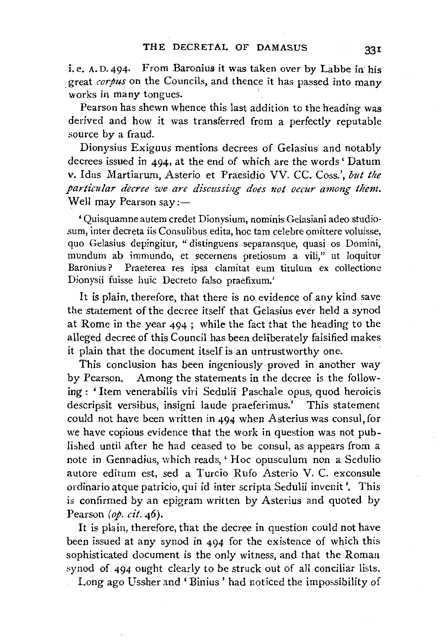i.e. A.D. 494. From Baronius it was taken over by Labbe in his great *corpus* on the Councils, and thence it has passed into many works in many tongues.

Pearson has shewn whence this last addition to the heading was derived and how it was transferred from a perfectly reputable source by a fraud.

Dionysius Exiguus mentions decrees of Gelasius and notably decrees issued in 494, at the end of which are the words' Datum v. Idus Martiarum, Asterio et Praesidio VV. CC. Coss.', but the particular decree we are discussing does not occur among them. Well may Pearson say:-

' Quisquamne autem credet Dionysium, nominis Gelasiani adeo studiosum, inter decreta iis Consulibus edita, hoc tam celebre omittere voluisse, quo Gelasius depingitur, "distinguens separansque, quasi os Domini, mundum ab immundo, et secernens pretiosum a viii," ut loquitur Baronius? Praeterea res ipsa clamitat eum titulum ex collectione Dionysii fuisse huic Decreto falso praefixum.'

It is plain, therefore, that there *is* no evidence of any kind save the statement of the decree itself that Gelasius ever held a synod at Rome in the year 494 ; while the fact that the heading to the alleged decree of this Council has been deliberately falsified makes it plain that the document itself is an untrustworthy one.

This conclusion has been ingeniously proved in another way by Pearson. Among the statements in the decree is the follow~ ing : ' Item venerabilis viri Sedulii Paschale opus, quod heroicis descripsit versibus, insigni laude praeferimus.' This statement could not have been written in 494 when Asterius was consul, for we have copious evidence that the work in question was not published until after he had ceased to be consul, as appears from a note in Gennadius, which reads, ' Hoc opusculum non a Sedulio autore editum est, sed a Turcio Rufo Asterio V. C. exconsule ordinario atque patricio, qui id inter scripta Sedulii invenit '. This is confirmed by an epigram written by Asterius and quoted by Pearson *(op. cit.* 46).

It is plain, therefore, that the decree in question could not have been issued at any synod in 494 for the existence of which this sophisticated document is the only witness, and that the Roman synod of 494 ought clearly to be struck out of all conciliar lists.

Long ago Ussher and 'Binius' had noticed the impossibility of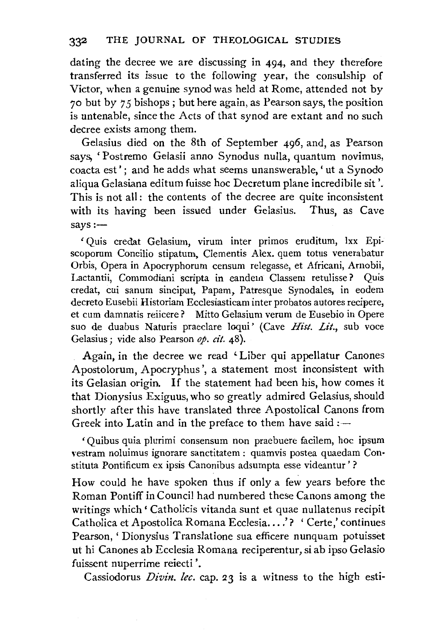dating the decree we are discussing in 494, and they therefore transferred its issue to the following year, the consulship of Victor, when a genuine synod was held at Rome, attended not by 70 but by *7 5* bishops ; but here again, as Pearson says, the position is untenable, since the Acts of that synod are extant and no such decree exists among them.

Gelasius died on the 8th of September 496, and, as Pearson says, 'Postremo Gelasii anno Synodus nulla, quantum novimus, coacta est' ; and he adds what seems unanswerable, 'ut a Synodo aliqua Gelasiana editum fuisse hoc Decretum plane incredibile sit'. This is not all: the contents of the decree are quite inconsistent with its having been issued under Gelasius. Thus, as Cave with its having been issued under Gelasius. says:-

' Quis credat Gelasium, virum inter primos eruditum, lxx Episcoporum Concilio stipatum, Clementis Alex. quem totus venerabatur Orbis, Opera in Apocryphorum censum relegasse, et Africani, Arnobii, Lactantii, Commodiani scripta in eandem Classem retulisse? Ouis credat, cui sanum sinciput, Papam, Patresque Synodales, in eodem decreto Eusebii Historiam Ecclesiasticam inter probatos autores recipere, et cum damnatis reiicere? Mitto Gelasium verum de Eusebio in Opere suo de duabus Naturis praeclare loqui' (Cave *Hist. Lit.,* sub voce Gelasius; vide also Pearson *op. cit.* 48).

Again, in the decree we read 'Liber qui appellatur Canones Apostolorum, Apocryphus ', a statement most inconsistent with its Gelasian origin. If the statement had been his, how comes it that Dionysius Exiguus, who so greatly admired Gelasius, should shortly after this have translated three Apostolical Canons from Greek into Latin and in the preface to them have said: $-$ 

' Quibus quia plurimi consensum non praebuere facilem, hoc ipsum vestram noluimus ignorare sanctitatem: quamvis postea quaedam Con· stituta Pontificum ex ipsis Canonibus adsumpta esse videantur ' ?

How could he have spoken thus if only a few years before the Roman Pontiff in Council had numbered these Canons among the writings which' Catholicis vitanda sunt et quae nullatenus recipit Catholica et Apostolica Romana Ecclesia ... .'? ' Certe,' continues Pearson, 'Dionysius Translatione sua efficere nunquam potuisset ut hi Canones ab Ecclesia Romana reciperentur, si ab ipso Gelasio fuissent nuperrime reiecti '.

Cassiodorus *Divin. lec.* cap. 23 is a witness to the high esti-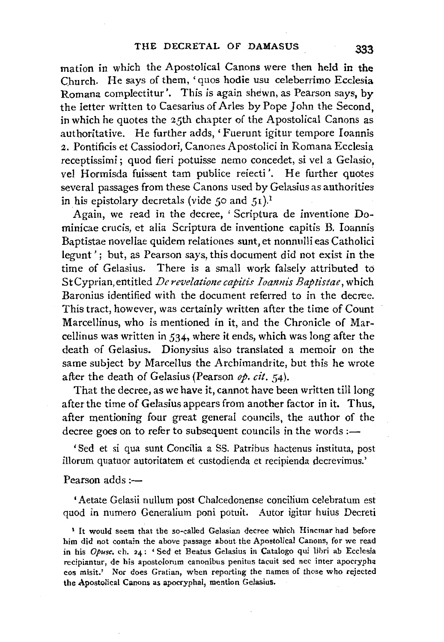mation in which the Apostolical Canons were then held in the Church. He says of them, 'quos hodie usu celeberrimo Ecclesia Romana complectitur'. This is again shewn, as Pearson says, by the letter written to Caesarius of Arles by Pope John the Second, in which he quotes the 25th chapter of the Apostolical Canons as authoritative. He further adds, 'Fuerunt igitur tempore Ioannis 2. Pontificis et Cassiodori, Canones Apostolici in Romana Ecclesia receptissimi; quod fieri potuisse nemo concedet, si vel a Gelasio, vel Hormisda fuissent tam publice reiecti '. He further quotes several passages from these Canons used by Gelasius as authorities in his epistolary decretals (vide *50* and 51).1

Again, we read in the decree, ' Scriptura de inventione Do~ minicae crucis, et alia Scriptura de inventione capitis B. Ioannis Baptistae novellae quidem relationes sunt, et nonnulli eas Catholici legunt '; but, as Pearson says, this document did not exist in the time of Gelasius. There is a small work falsely attributed to StCyprian, entitled *De revelatione capitis Joannis Baptistae,* which Baronius identified with the document referred to in the decree. This tract, however, was certainly written after the time of Count Marcellinus, who is mentioned in it, and the Chronicle of Marcellinus was written in 534, where it ends, which was long after the death of Gelasius. Dionysius also translated a memoir on the same subject by Marcellus the Archimandrite, but this he wrote after the death of Gelasius (Pearson *op. cit.* 54).

That the decree, as we have it, cannot have been written till long after the time of Gelasius appears from another factor in it. Thus, after mentioning four great general councils, the author of the decree goes on to refer to subsequent councils in the words:—

'Sed et si qua sunt Concilia a SS. Patribus hactenus instituta, post illorum quatuor autoritatem et custodienda et recipienda decrevimus.'

Pearson  $\text{adds}$  : $-$ 

'Aetate Gelasii nullum post Chalcedonense concilium celebratum est quod in numero Generalium poni potuit. Autor igitur huius Decreti

<sup>1</sup> It would seem that the so-called Gelasian decree which Hincmar had before him did not contain the above passage about the Apostolical Canons, for we read in his *Opusc.* ch. 24: ' Sed et Beatus Gelasius in Catalogo qui libri ab Ecclesia recipiantur, de his apostolorum canonibus penitus tacuit sed nee inter apocrypha cos misit.' Nor does Gratian, when reporting the names of those who rejected the Apostolical Canons as apocryphal, mention Gelasius.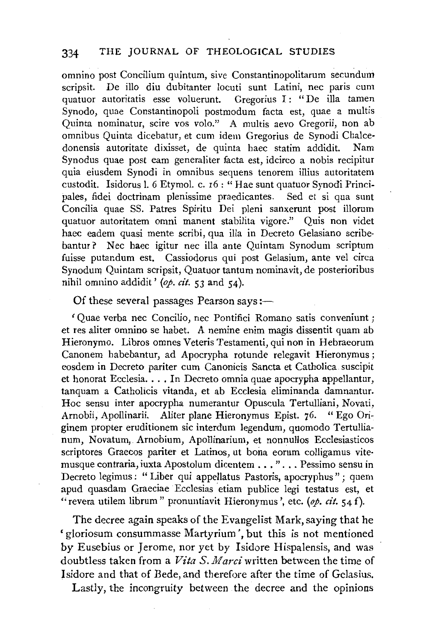### 334 THE JOURNAL OF THEOLOGICAL STUDIES

omnino post Concilium quintum, sive Constantinopolitarum secundum scripsit. De illo diu dubitanter locuti sunt Latini, nec paris cum quatuor autoritatis esse voluerunt. Gregorius I: "De illa tamen Synodo, quae Constantinopoli postmodum facta est, quae a multis Quinta nominatur, scire vos volo." A multis aevo Gregorii, non ab omnibus Quinta dicebatur, et cum idem Gregorius de Synodi Chalcedonensis autoritate dixisset, de quinta haec statim addidit. Nam Synodus quae post eam generaliter facta est, idcirco a nobis recipitur quia eiusdem Synodi in omnibus sequens tenorem illius autoritatem custodit. Isidorus l. 6 Etymol. c. r6 : "Hae sunt quatuor Synodi Principales, fidei doctrinam plenissime praedicantes. Sed et si qua sunt Concilia quae SS. Patres Spiritu Dei pleni sanxerunt post illorum quatuor autoritatem omni manent stabilita vigore." Quis non videt haec eadem quasi mente scribi, qua ilia in Decreto Gelasiano scribebantur? Nec haec igitur nec illa ante Quintam Synodum scriptum fuisse putandum est. Cassiodorus qui post Gelasium, ante vel circa Synodum Quintam scripsit, Quatuor tantum nominavit, de posterioribus nihil omnino addidit' *(op. cit.* 53 and 54).

Of these several passages Pearson says:—

'Quae verba nee Concilio, nee Pontifici Romano satis conveniunt ; et res aliter omnino se habet. A nemine enim magis dissentit quam ab Hieronymo. Libros omnes Veteris Testamenti, qui non in Hebraeorum Canonem habebantur, ad Apocrypha rotunde relegavit Hieronymus; eosdem in Decreto pariter cum Canonicis Sancta et Catholica. suscipit et honorat Ecclesia .... In Decreto omnia quae apocrypha appellantur, tanquam a Catholicis vitanda, et ab Ecclesia eliminanda damnantur. Hoc sensu inter apocrypha numerantur Opuscula Tertulliani, Novati, Arnobii, Apollinarii. Aliter plane Hieronymus Epist. 76. " Ego Originem propter eruditionem sic interdum legendum, quomodo Tertullianum, Novatum, Arnobium, ApoHinarium, et nonnullos Ecclesiasticos scriptores Graecos pariter et Latinos, ut bona eorum colligamus vitemusque contraria, iuxta Apostolum dicentem . . , " . . . Pessimo sensu in Decreto legimus : "Liber qui appellatus Pastoris, apocryphus" ; quem apud quasdam Graeciae Ecclesias etiam publice legi testatus est, et "revera utilem librum" pronuntiavit Hieronymus', etc. (op. cit. 54 f).

The decree again speaks of the Evangelist Mark, saying that he 'gloriosum consummasse Martyrium ',but this is not mentioned by Eusebius or Jerome, nor yet by Isidore Hispalensis, and was doubtless taken from a *Vita S. Marci* written between the time of Isidore and that of Bede, and therefore after the time of Gelasius.

Lastly, the incongruity between the decree and the opinions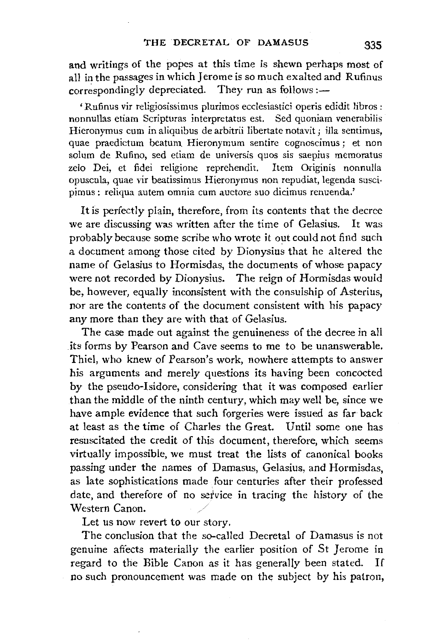and writings of the popes at this time is shewn perhaps most of all in the passages in which Jerome is so much exalted and Rufinus  $correspondingly$  depreciated. They run as follows: $-$ 

' Rufinus vir religiosissimus plurimos ecclesiastici operis edidit libros : nonnullas etiam Scripturas interpretatus est. Sed quoniam venerabilis Hieronymus cum in aliquibus de arbitrii libertate notavit; illa sentimus, quae praedictum beatum. Hieronymum sentire cognoscimus; et non solum de Rufino, sed etiam de universis quos sis saepius memoratus zelo Dei, et fidei religione reprehendit. Item Originis nonnulla opuscula, quae vir beatissimus Hieronymus non repudiat, legenda suscipimus : reliqua autem omnia cum auctore suo dicimus renuenda.'

It is perfectly plain, therefore, from its contents that the decree we are discussing was written after the time of Gelasius. It was probably because some scribe who wrote it out could not find such a document among those cited by Dionysius that he altered the name of Gelasius to Hormisdas, the documents of whose papacy were not recorded by Dionysius. The reign of Hormisdas would be, however, equally inconsistent with the consulship of Asterius, nor are the contents of the document consistent with his papacy any more than they are with that of Gelasius.

The case made out against the genuineness of the decree in all its forms by Pearson and Cave seems to me to be unanswerable. Thiel, who knew of Pearson's work, nowhere attempts to answer his arguments and merely questions its having been concocted by the pseudo-Isidore, considering that it was composed earlier than the middle of the ninth century, which may well be, since we have ample evidence that such forgeries were issued as far back at least as the time of Charles the Great. Until some one has resuscitated the credit of this document, therefore, which seems virtually impossible, we must treat the lists of canonical books passing under the names of Damasus, Gelasius, and Hormisdas, as late sophistications made four centuries after their professed date, and therefore of no service in tracing the history of the Western Canon. */* 

Let us now revert to our story.

The conclusion that the so-called Decretal of Damasus is not genuine affects materially the earlier position of St Jerome in regard to the Bible Canon as it has generally been stated. If no such pronouncement was made on the subject by his patron,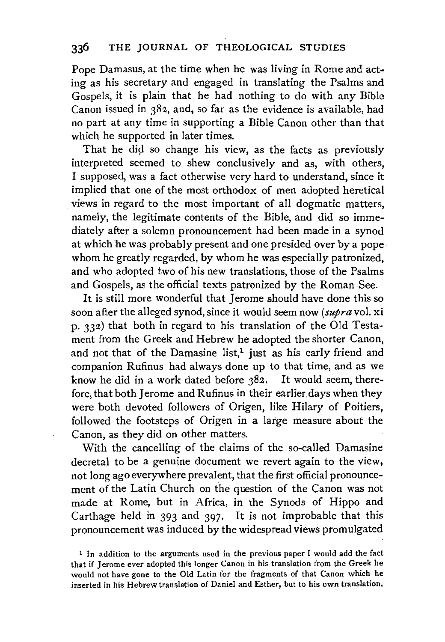Pope Damasus, at the time when he was living in Rome and act• ing as his secretary and engaged in translating the Psalms and Gospels, it is plain that he had nothing to do with any Bible Canon issued in 382, and, so far as the evidence is available, had no part at any time in supporting a Bible Canon other than that which he supported in later times.

That he did so change his view, as the facts as previously interpreted seemed to shew conclusively and as, with others, I supposed, was a fact otherwise very hard to understand, since it implied that one of the most orthodox of men adopted heretical views in regard to the most important of all dogmatic matters, namely, the legitimate contents of the Bible, and did so immediately after a solemn pronouncement had been made in a synod at which he was probably present and one presided over by a pope whom he greatly regarded, by whom he was especially patronized, and who adopted two of his new translations, those of the Psalms and Gospels, as the official texts patronized by the Roman See.

It is still more wonderful that Jerome should have done this so soon after the alleged synod, since it would seem now *(supra* vol. xi p. 332) that both in regard to his translation of the Old Testament from the Greek and Hebrew he adopted the shorter Canon, and not that of the Damasine list,<sup>1</sup> just as his early friend and companion Rufinus had always done up to that time, and as we know he did in a work dated before 382. It would seem, therefore, that both Jerome and Rufinus in their earlier. days when they were both devoted followers of Origen, like Hilary of Poitiers, followed the footsteps of Origen in a large measure about the Canon, as they did on other matters.

With the cancelling of the claims of the so-called Damasine decretal to be a genuine document we revert again to the view, not long ago everywhere prevalent, that the first official pronouncement of the Latin Church on the question of the Canon was not made at Rome, but in Africa, in the Synods of Hippo and Carthage held in 393 and 397. It is not improbable that this pronouncement was induced by the widespread views promulgated

t In addition to the arguments used in the previous paper I would add the fact that if Jerome ever adopted this longer Canon in his translation from the Greek he would not have gone to the Old Latin for the fragments of that Canon which he inserted in his Hebrew translation of Daniel and Esther, but to his own translation.